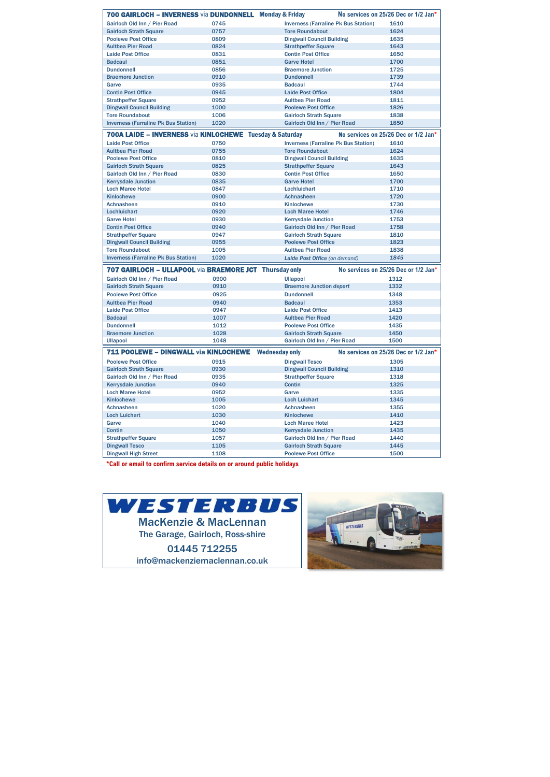| 700 GAIRLOCH - INVERNESS via DUNDONNELL Monday & Friday             |      |                                             | No services on 25/26 Dec or 1/2 Jan* |
|---------------------------------------------------------------------|------|---------------------------------------------|--------------------------------------|
| Gairloch Old Inn / Pier Road                                        | 0745 | <b>Inverness (Farraline Pk Bus Station)</b> | 1610                                 |
| <b>Gairloch Strath Square</b>                                       | 0757 | <b>Tore Roundabout</b>                      | 1624                                 |
| <b>Poolewe Post Office</b>                                          | 0809 | <b>Dingwall Council Building</b>            | 1635                                 |
| <b>Aultbea Pier Road</b>                                            | 0824 | <b>Strathpeffer Square</b>                  | 1643                                 |
| <b>Laide Post Office</b>                                            | 0831 | <b>Contin Post Office</b>                   | 1650                                 |
| <b>Badcaul</b>                                                      | 0851 | <b>Garve Hotel</b>                          | 1700                                 |
| <b>Dundonnell</b>                                                   | 0856 | <b>Braemore Junction</b>                    | 1725                                 |
| <b>Braemore Junction</b>                                            | 0910 | <b>Dundonnell</b>                           | 1739                                 |
| Garve                                                               | 0935 | <b>Badcaul</b>                              | 1744                                 |
| <b>Contin Post Office</b>                                           | 0945 | <b>Laide Post Office</b>                    | 1804                                 |
| <b>Strathpeffer Square</b>                                          | 0952 | <b>Aultbea Pier Road</b>                    | 1811                                 |
| <b>Dingwall Council Building</b>                                    | 1000 | <b>Poolewe Post Office</b>                  | 1826                                 |
| <b>Tore Roundabout</b>                                              | 1006 | <b>Gairloch Strath Square</b>               | 1838                                 |
| <b>Inverness (Farraline Pk Bus Station)</b>                         | 1020 | Gairloch Old Inn / Pier Road                | 1850                                 |
| <b>700A LAIDE - INVERNESS via KINLOCHEWE Tuesday &amp; Saturday</b> |      |                                             | No services on 25/26 Dec or 1/2 Jan* |
| <b>Laide Post Office</b>                                            | 0750 | <b>Inverness (Farraline Pk Bus Station)</b> | 1610                                 |
| <b>Aultbea Pier Road</b>                                            | 0755 | <b>Tore Roundabout</b>                      | 1624                                 |
| <b>Poolewe Post Office</b>                                          | 0810 | <b>Dingwall Council Building</b>            | 1635                                 |
| <b>Gairloch Strath Square</b>                                       | 0825 | <b>Strathpeffer Square</b>                  | 1643                                 |
| Gairloch Old Inn / Pier Road                                        | 0830 | <b>Contin Post Office</b>                   | 1650                                 |
| <b>Kerrysdale Junction</b>                                          | 0835 | <b>Garve Hotel</b>                          | 1700                                 |
| <b>Loch Maree Hotel</b>                                             | 0847 | Lochluichart                                | 1710                                 |
| <b>Kinlochewe</b>                                                   | 0900 | <b>Achnasheen</b>                           | 1720                                 |
| Achnasheen                                                          | 0910 | <b>Kinlochewe</b>                           | 1730                                 |
| Lochluichart                                                        | 0920 | <b>Loch Maree Hotel</b>                     | 1746                                 |
| <b>Garve Hotel</b>                                                  | 0930 | <b>Kerrysdale Junction</b>                  | 1753                                 |
| <b>Contin Post Office</b>                                           | 0940 | Gairloch Old Inn / Pier Road                | 1758                                 |
| <b>Strathpeffer Square</b>                                          | 0947 | <b>Gairloch Strath Square</b>               | 1810                                 |
| <b>Dingwall Council Building</b>                                    | 0955 | <b>Poolewe Post Office</b>                  | 1823                                 |
| <b>Tore Roundabout</b>                                              | 1005 | <b>Aultbea Pier Road</b>                    | 1838                                 |
| <b>Inverness (Farraline Pk Bus Station)</b>                         | 1020 | Laide Post Office (on demand)               | 1845                                 |
|                                                                     |      |                                             |                                      |
| <b>707 GAIRLOCH - ULLAPOOL via BRAEMORE JCT Thursday only</b>       |      |                                             | No services on 25/26 Dec or 1/2 Jan* |
| Gairloch Old Inn / Pier Road                                        | 0900 | <b>Ullapool</b>                             | 1312                                 |
| <b>Gairloch Strath Square</b>                                       | 0910 | <b>Braemore Junction depart</b>             | 1332                                 |
| <b>Poolewe Post Office</b>                                          | 0925 | <b>Dundonnell</b>                           | 1348                                 |
| <b>Aultbea Pier Road</b>                                            | 0940 | <b>Badcaul</b>                              | 1353                                 |
| <b>Laide Post Office</b>                                            | 0947 | <b>Laide Post Office</b>                    | 1413                                 |
| <b>Badcaul</b>                                                      | 1007 | <b>Aultbea Pier Road</b>                    | 1420                                 |
| <b>Dundonnell</b>                                                   | 1012 | <b>Poolewe Post Office</b>                  | 1435                                 |
| <b>Braemore Junction</b>                                            | 1028 | <b>Gairloch Strath Square</b>               | 1450                                 |
| <b>Ullapool</b>                                                     | 1048 | Gairloch Old Inn / Pier Road                | 1500                                 |
| 711 POOLEWE - DINGWALL via KINLOCHEWE                               |      | <b>Wednesday only</b>                       | No services on 25/26 Dec or 1/2 Jan* |
| <b>Poolewe Post Office</b>                                          | 0915 | <b>Dingwall Tesco</b>                       | 1305                                 |
| <b>Gairloch Strath Square</b>                                       | 0930 | <b>Dingwall Council Building</b>            | 1310                                 |
| Gairloch Old Inn / Pier Road                                        | 0935 | <b>Strathpeffer Square</b>                  | 1318                                 |
| <b>Kerrysdale Junction</b>                                          | 0940 | <b>Contin</b>                               | 1325                                 |
| <b>Loch Maree Hotel</b>                                             | 0952 | Garve                                       | 1335                                 |
| <b>Kinlochewe</b>                                                   | 1005 | <b>Loch Luichart</b>                        | 1345                                 |
| <b>Achnasheen</b>                                                   | 1020 | Achnasheen                                  | 1355                                 |
| <b>Loch Luichart</b>                                                | 1030 | <b>Kinlochewe</b>                           | 1410                                 |
| Garve                                                               | 1040 | <b>Loch Maree Hotel</b>                     | 1423                                 |
| <b>Contin</b>                                                       | 1050 | <b>Kerrysdale Junction</b>                  | 1435                                 |
| <b>Strathpeffer Square</b>                                          | 1057 | Gairloch Old Inn / Pier Road                | 1440                                 |
| <b>Dingwall Tesco</b>                                               | 1105 | <b>Gairloch Strath Square</b>               | 1445                                 |

**\*Call or email to confirm service details on or around public holidays**

Dingwall High Street 1108 Poolewe Post Office 1500